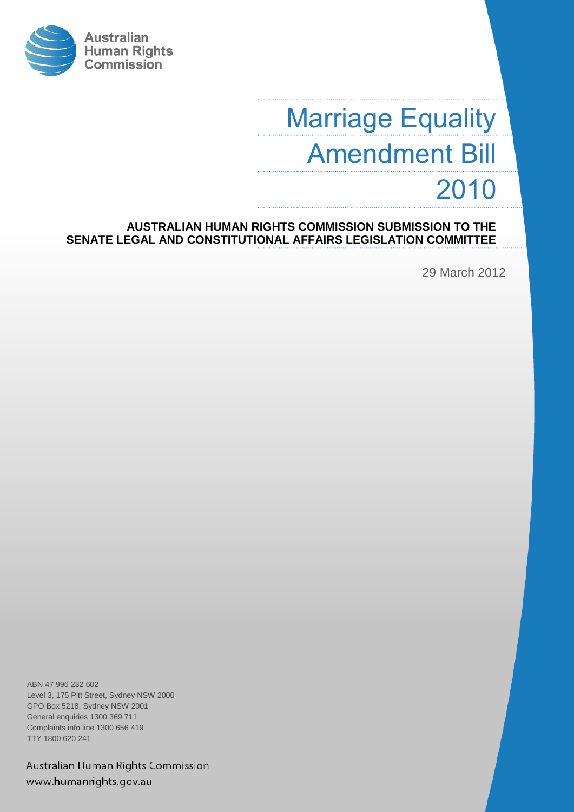

# Marriage Equality Amendment Bill 2010

**AUSTRALIAN HUMAN RIGHTS COMMISSION SUBMISSION TO THE SENATE LEGAL AND CONSTITUTIONAL AFFAIRS LEGISLATION COMMITTEE**

29 March 2012

ABN 47 996 232 602 Level 3, 175 Pitt Street, Sydney NSW 2000 GPO Box 5218, Sydney NSW 2001 General enquiries 1300 369 711 Complaints info line 1300 656 419 TTY 1800 620 241

Australian Human Rights Commission www.humanrights.gov.au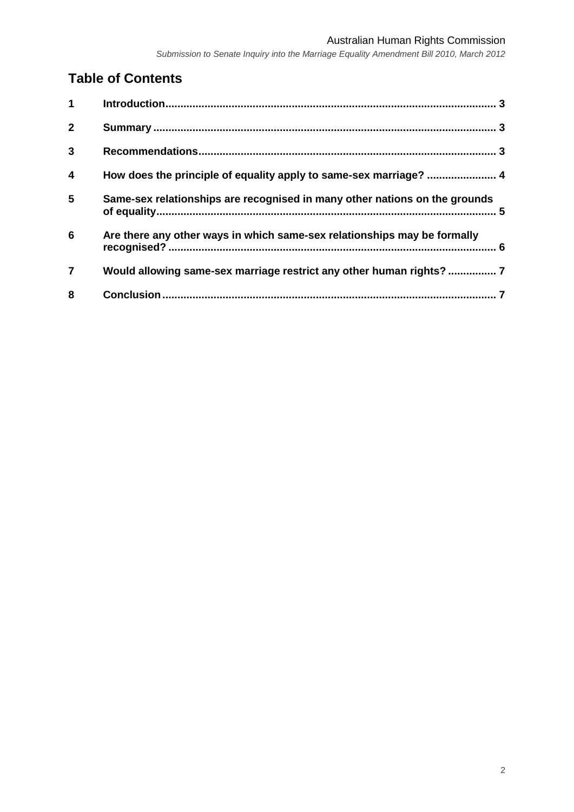#### Australian Human Rights Commission

*Submission to Senate Inquiry into the Marriage Equality Amendment Bill 2010, March 2012*

# **Table of Contents**

| 1                       |                                                                            |  |
|-------------------------|----------------------------------------------------------------------------|--|
| $\overline{2}$          |                                                                            |  |
| 3                       |                                                                            |  |
| $\overline{\mathbf{4}}$ | How does the principle of equality apply to same-sex marriage?  4          |  |
| 5                       | Same-sex relationships are recognised in many other nations on the grounds |  |
| $6\phantom{1}6$         | Are there any other ways in which same-sex relationships may be formally   |  |
| $\overline{7}$          |                                                                            |  |
| 8                       |                                                                            |  |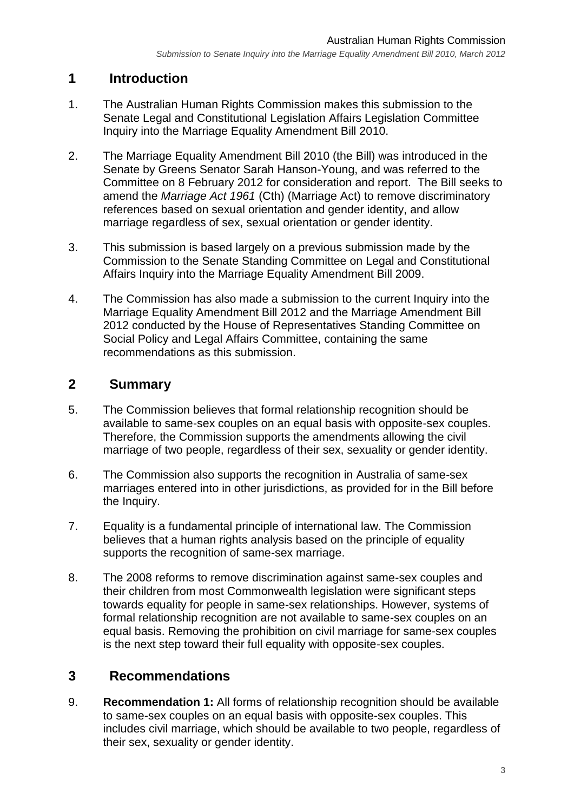# <span id="page-2-0"></span>**1 Introduction**

- 1. The Australian Human Rights Commission makes this submission to the Senate Legal and Constitutional Legislation Affairs Legislation Committee Inquiry into the Marriage Equality Amendment Bill 2010.
- 2. The Marriage Equality Amendment Bill 2010 (the Bill) was introduced in the Senate by Greens Senator Sarah Hanson-Young, and was referred to the Committee on 8 February 2012 for consideration and report. The Bill seeks to amend the *Marriage Act 1961* (Cth) (Marriage Act) to remove discriminatory references based on sexual orientation and gender identity, and allow marriage regardless of sex, sexual orientation or gender identity.
- 3. This submission is based largely on a previous submission made by the Commission to the Senate Standing Committee on Legal and Constitutional Affairs Inquiry into the Marriage Equality Amendment Bill 2009.
- 4. The Commission has also made a submission to the current Inquiry into the Marriage Equality Amendment Bill 2012 and the Marriage Amendment Bill 2012 conducted by the House of Representatives Standing Committee on Social Policy and Legal Affairs Committee, containing the same recommendations as this submission.

## <span id="page-2-1"></span>**2 Summary**

- 5. The Commission believes that formal relationship recognition should be available to same-sex couples on an equal basis with opposite-sex couples. Therefore, the Commission supports the amendments allowing the civil marriage of two people, regardless of their sex, sexuality or gender identity.
- 6. The Commission also supports the recognition in Australia of same-sex marriages entered into in other jurisdictions, as provided for in the Bill before the Inquiry.
- 7. Equality is a fundamental principle of international law. The Commission believes that a human rights analysis based on the principle of equality supports the recognition of same-sex marriage.
- 8. The 2008 reforms to remove discrimination against same-sex couples and their children from most Commonwealth legislation were significant steps towards equality for people in same-sex relationships. However, systems of formal relationship recognition are not available to same-sex couples on an equal basis. Removing the prohibition on civil marriage for same-sex couples is the next step toward their full equality with opposite-sex couples.

# <span id="page-2-2"></span>**3 Recommendations**

9. **Recommendation 1:** All forms of relationship recognition should be available to same-sex couples on an equal basis with opposite-sex couples. This includes civil marriage, which should be available to two people, regardless of their sex, sexuality or gender identity.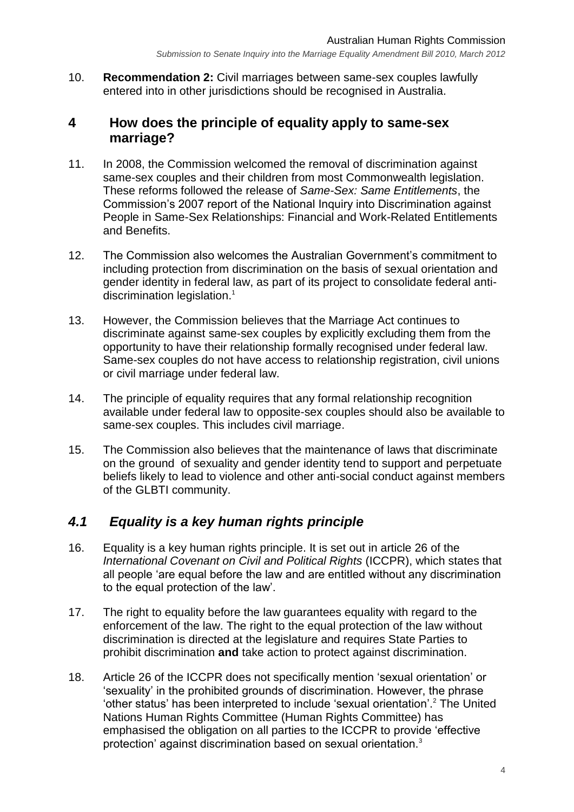10. **Recommendation 2:** Civil marriages between same-sex couples lawfully entered into in other jurisdictions should be recognised in Australia.

## <span id="page-3-0"></span>**4 How does the principle of equality apply to same-sex marriage?**

- 11. In 2008, the Commission welcomed the removal of discrimination against same-sex couples and their children from most Commonwealth legislation. These reforms followed the release of *Same-Sex: Same Entitlements*, the Commission's 2007 report of the National Inquiry into Discrimination against People in Same-Sex Relationships: Financial and Work-Related Entitlements and Benefits.
- 12. The Commission also welcomes the Australian Government's commitment to including protection from discrimination on the basis of sexual orientation and gender identity in federal law, as part of its project to consolidate federal antidiscrimination legislation.<sup>1</sup>
- 13. However, the Commission believes that the Marriage Act continues to discriminate against same-sex couples by explicitly excluding them from the opportunity to have their relationship formally recognised under federal law. Same-sex couples do not have access to relationship registration, civil unions or civil marriage under federal law.
- 14. The principle of equality requires that any formal relationship recognition available under federal law to opposite-sex couples should also be available to same-sex couples. This includes civil marriage.
- 15. The Commission also believes that the maintenance of laws that discriminate on the ground of sexuality and gender identity tend to support and perpetuate beliefs likely to lead to violence and other anti-social conduct against members of the GLBTI community.

## *4.1 Equality is a key human rights principle*

- 16. Equality is a key human rights principle. It is set out in article 26 of the *International Covenant on Civil and Political Rights* (ICCPR), which states that all people 'are equal before the law and are entitled without any discrimination to the equal protection of the law'.
- 17. The right to equality before the law guarantees equality with regard to the enforcement of the law. The right to the equal protection of the law without discrimination is directed at the legislature and requires State Parties to prohibit discrimination **and** take action to protect against discrimination.
- 18. Article 26 of the ICCPR does not specifically mention 'sexual orientation' or 'sexuality' in the prohibited grounds of discrimination. However, the phrase 'other status' has been interpreted to include 'sexual orientation'.<sup>2</sup> The United Nations Human Rights Committee (Human Rights Committee) has emphasised the obligation on all parties to the ICCPR to provide 'effective protection' against discrimination based on sexual orientation.<sup>3</sup>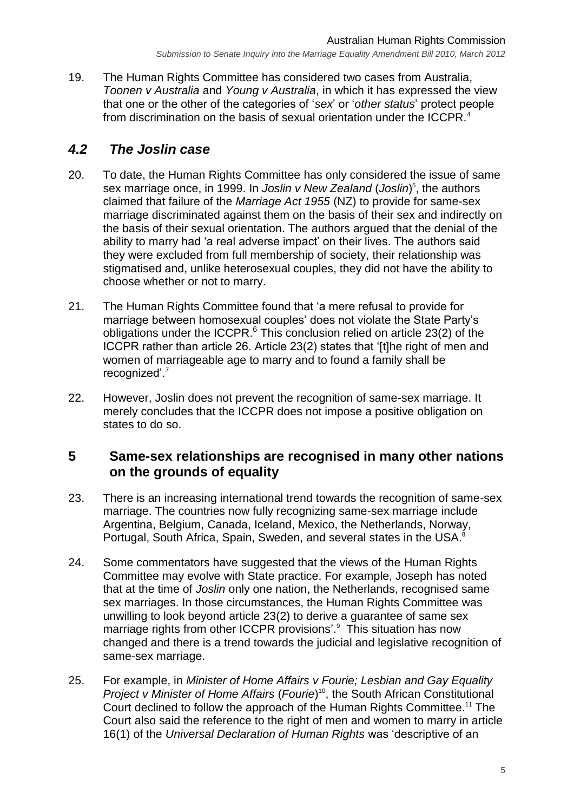19. The Human Rights Committee has considered two cases from Australia, *Toonen v Australia* and *Young v Australia*, in which it has expressed the view that one or the other of the categories of '*sex*' or '*other status*' protect people from discrimination on the basis of sexual orientation under the ICCPR.<sup>4</sup>

## *4.2 The Joslin case*

- 20. To date, the Human Rights Committee has only considered the issue of same sex marriage once, in 1999. In *Joslin v New Zealand* (*Joslin*)<sup>5</sup>, the authors claimed that failure of the *Marriage Act 1955* (NZ) to provide for same-sex marriage discriminated against them on the basis of their sex and indirectly on the basis of their sexual orientation. The authors argued that the denial of the ability to marry had 'a real adverse impact' on their lives. The authors said they were excluded from full membership of society, their relationship was stigmatised and, unlike heterosexual couples, they did not have the ability to choose whether or not to marry.
- 21. The Human Rights Committee found that 'a mere refusal to provide for marriage between homosexual couples' does not violate the State Party's obligations under the ICCPR.<sup>6</sup> This conclusion relied on article 23(2) of the ICCPR rather than article 26. Article 23(2) states that '[t]he right of men and women of marriageable age to marry and to found a family shall be recognized'.<sup>7</sup>
- 22. However, Joslin does not prevent the recognition of same-sex marriage. It merely concludes that the ICCPR does not impose a positive obligation on states to do so.

#### <span id="page-4-0"></span>**5 Same-sex relationships are recognised in many other nations on the grounds of equality**

- 23. There is an increasing international trend towards the recognition of same-sex marriage. The countries now fully recognizing same-sex marriage include Argentina, Belgium, Canada, Iceland, Mexico, the Netherlands, Norway, Portugal, South Africa, Spain, Sweden, and several states in the USA.<sup>8</sup>
- 24. Some commentators have suggested that the views of the Human Rights Committee may evolve with State practice. For example, Joseph has noted that at the time of *Joslin* only one nation, the Netherlands, recognised same sex marriages. In those circumstances, the Human Rights Committee was unwilling to look beyond article 23(2) to derive a guarantee of same sex marriage rights from other ICCPR provisions'. 9 This situation has now changed and there is a trend towards the judicial and legislative recognition of same-sex marriage.
- 25. For example, in *Minister of Home Affairs v Fourie; Lesbian and Gay Equality Project v Minister of Home Affairs (Fourie)*<sup>10</sup>, the South African Constitutional Court declined to follow the approach of the Human Rights Committee.<sup>11</sup> The Court also said the reference to the right of men and women to marry in article 16(1) of the *Universal Declaration of Human Rights* was 'descriptive of an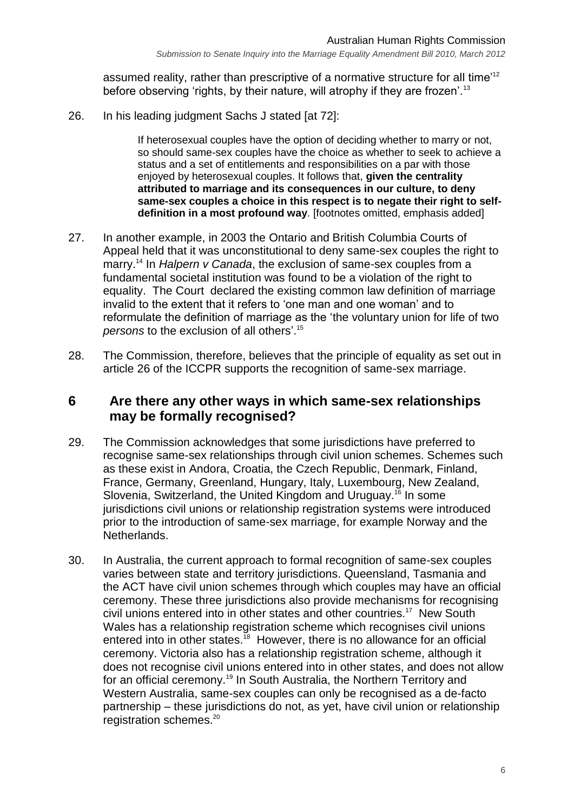assumed reality, rather than prescriptive of a normative structure for all time<sup>112</sup> before observing 'rights, by their nature, will atrophy if they are frozen'.<sup>13</sup>

26. In his leading judgment Sachs J stated [at 72]:

If heterosexual couples have the option of deciding whether to marry or not, so should same-sex couples have the choice as whether to seek to achieve a status and a set of entitlements and responsibilities on a par with those enjoyed by heterosexual couples. It follows that, **given the centrality attributed to marriage and its consequences in our culture, to deny same-sex couples a choice in this respect is to negate their right to selfdefinition in a most profound way**. [footnotes omitted, emphasis added]

- 27. In another example, in 2003 the Ontario and British Columbia Courts of Appeal held that it was unconstitutional to deny same-sex couples the right to marry.<sup>14</sup> In *Halpern v Canada*, the exclusion of same-sex couples from a fundamental societal institution was found to be a violation of the right to equality. The Court declared the existing common law definition of marriage invalid to the extent that it refers to 'one man and one woman' and to reformulate the definition of marriage as the 'the voluntary union for life of two *persons* to the exclusion of all others'. 15
- 28. The Commission, therefore, believes that the principle of equality as set out in article 26 of the ICCPR supports the recognition of same-sex marriage.

## <span id="page-5-0"></span>**6 Are there any other ways in which same-sex relationships may be formally recognised?**

- 29. The Commission acknowledges that some jurisdictions have preferred to recognise same-sex relationships through civil union schemes. Schemes such as these exist in Andora, Croatia, the Czech Republic, Denmark, Finland, France, Germany, Greenland, Hungary, Italy, Luxembourg, New Zealand, Slovenia, Switzerland, the United Kingdom and Uruguay.<sup>16</sup> In some jurisdictions civil unions or relationship registration systems were introduced prior to the introduction of same-sex marriage, for example Norway and the Netherlands.
- 30. In Australia, the current approach to formal recognition of same-sex couples varies between state and territory jurisdictions. Queensland, Tasmania and the ACT have civil union schemes through which couples may have an official ceremony. These three jurisdictions also provide mechanisms for recognising civil unions entered into in other states and other countries.<sup>17</sup> New South Wales has a relationship registration scheme which recognises civil unions entered into in other states.<sup>18</sup> However, there is no allowance for an official ceremony. Victoria also has a relationship registration scheme, although it does not recognise civil unions entered into in other states, and does not allow for an official ceremony.<sup>19</sup> In South Australia, the Northern Territory and Western Australia, same-sex couples can only be recognised as a de-facto partnership – these jurisdictions do not, as yet, have civil union or relationship registration schemes.<sup>20</sup>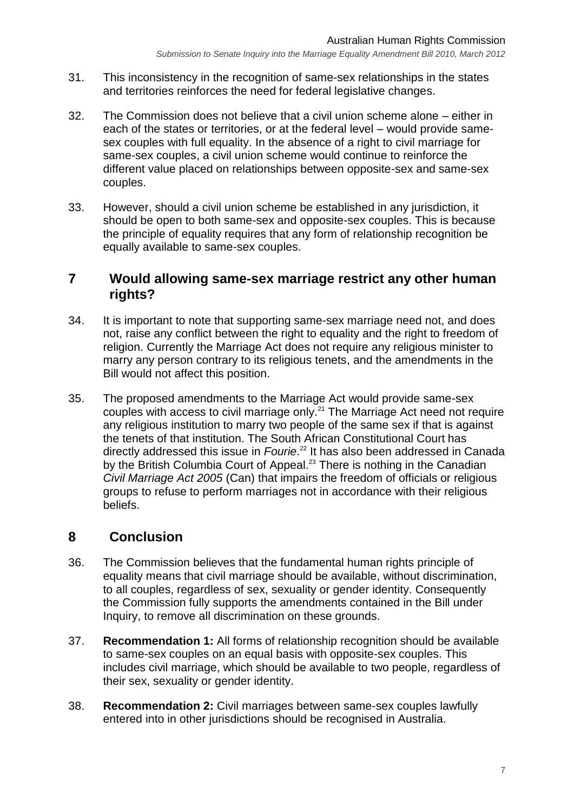- 31. This inconsistency in the recognition of same-sex relationships in the states and territories reinforces the need for federal legislative changes.
- 32. The Commission does not believe that a civil union scheme alone either in each of the states or territories, or at the federal level – would provide samesex couples with full equality. In the absence of a right to civil marriage for same-sex couples, a civil union scheme would continue to reinforce the different value placed on relationships between opposite-sex and same-sex couples.
- 33. However, should a civil union scheme be established in any jurisdiction, it should be open to both same-sex and opposite-sex couples. This is because the principle of equality requires that any form of relationship recognition be equally available to same-sex couples.

#### <span id="page-6-0"></span>**7 Would allowing same-sex marriage restrict any other human rights?**

- 34. It is important to note that supporting same-sex marriage need not, and does not, raise any conflict between the right to equality and the right to freedom of religion. Currently the Marriage Act does not require any religious minister to marry any person contrary to its religious tenets, and the amendments in the Bill would not affect this position.
- 35. The proposed amendments to the Marriage Act would provide same-sex couples with access to civil marriage only.<sup>21</sup> The Marriage Act need not require any religious institution to marry two people of the same sex if that is against the tenets of that institution. The South African Constitutional Court has directly addressed this issue in *Fourie*. <sup>22</sup> It has also been addressed in Canada by the British Columbia Court of Appeal.<sup>23</sup> There is nothing in the Canadian *Civil Marriage Act 2005* (Can) that impairs the freedom of officials or religious groups to refuse to perform marriages not in accordance with their religious beliefs.

# <span id="page-6-1"></span>**8 Conclusion**

- 36. The Commission believes that the fundamental human rights principle of equality means that civil marriage should be available, without discrimination, to all couples, regardless of sex, sexuality or gender identity. Consequently the Commission fully supports the amendments contained in the Bill under Inquiry, to remove all discrimination on these grounds.
- 37. **Recommendation 1:** All forms of relationship recognition should be available to same-sex couples on an equal basis with opposite-sex couples. This includes civil marriage, which should be available to two people, regardless of their sex, sexuality or gender identity.
- 38. **Recommendation 2:** Civil marriages between same-sex couples lawfully entered into in other jurisdictions should be recognised in Australia.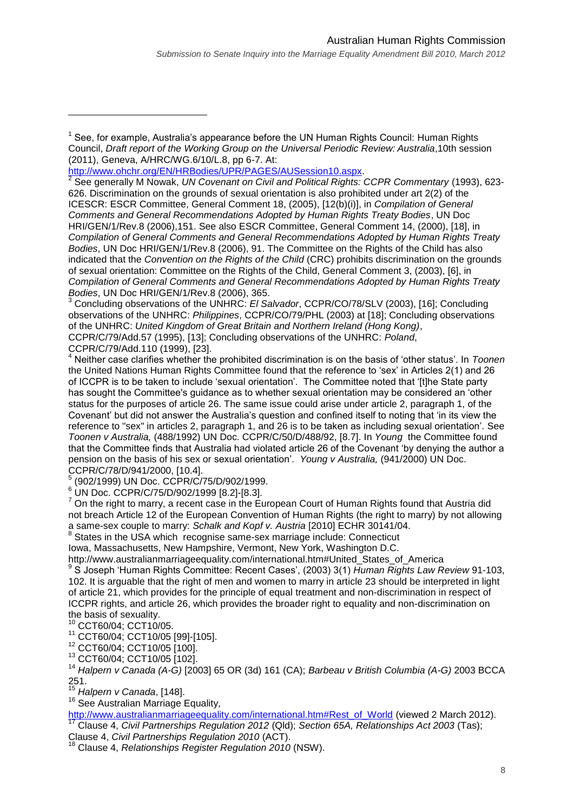[http://www.ohchr.org/EN/HRBodies/UPR/PAGES/AUSession10.aspx.](http://www.ohchr.org/EN/HRBodies/UPR/PAGES/AUSession10.aspx)

2 See generally M Nowak, *UN Covenant on Civil and Political Rights: CCPR Commentary* (1993), 623- 626. Discrimination on the grounds of sexual orientation is also prohibited under art 2(2) of the ICESCR: ESCR Committee, General Comment 18, (2005), [12(b)(i)], in *Compilation of General Comments and General Recommendations Adopted by Human Rights Treaty Bodies*, UN Doc HRI/GEN/1/Rev.8 (2006),151. See also ESCR Committee, General Comment 14, (2000), [18], in *Compilation of General Comments and General Recommendations Adopted by Human Rights Treaty Bodies*, UN Doc HRI/GEN/1/Rev.8 (2006), 91. The Committee on the Rights of the Child has also indicated that the *Convention on the Rights of the Child* (CRC) prohibits discrimination on the grounds of sexual orientation: Committee on the Rights of the Child, General Comment 3, (2003), [6], in *Compilation of General Comments and General Recommendations Adopted by Human Rights Treaty Bodies*, UN Doc HRI/GEN/1/Rev.8 (2006), 365.

<sup>3</sup> Concluding observations of the UNHRC: *El Salvador*, CCPR/CO/78/SLV (2003), [16]; Concluding observations of the UNHRC: *Philippines*, CCPR/CO/79/PHL (2003) at [18]; Concluding observations of the UNHRC: *United Kingdom of Great Britain and Northern Ireland (Hong Kong)*, CCPR/C/79/Add.57 (1995), [13]; Concluding observations of the UNHRC: *Poland*,

CCPR/C/79/Add.110 (1999), [23].

 $\overline{a}$ 

5 (902/1999) UN Doc. CCPR/C/75/D/902/1999.

 $6$  UN Doc. CCPR/C/75/D/902/1999 [8.2]-[8.3].

 $<sup>7</sup>$  On the right to marry, a recent case in the European Court of Human Rights found that Austria did</sup> not breach Article 12 of the European Convention of Human Rights (the right to marry) by not allowing a same-sex couple to marry: *Schalk and Kopf v. Austria* [2010] ECHR 30141/04. 8 States in the USA which recognise same-sex marriage include: Connecticut

Iowa, Massachusetts, New Hampshire, Vermont, New York, Washington D.C.

http://www.australianmarriageequality.com/international.htm#United\_States\_of\_America

9 S Joseph 'Human Rights Committee: Recent Cases', (2003) 3(1) *Human Rights Law Review* 91-103, 102. It is arguable that the right of men and women to marry in article 23 should be interpreted in light of article 21, which provides for the principle of equal treatment and non-discrimination in respect of ICCPR rights, and article 26, which provides the broader right to equality and non-discrimination on the basis of sexuality.

<sup>10</sup> CCT60/04; CCT10/05.

<sup>11</sup> CCT60/04; CCT10/05 [99]-[105].

<sup>12</sup> CCT60/04; CCT10/05 [100].

<sup>13</sup> CCT60/04; CCT10/05 [102].

<sup>14</sup> *Halpern v Canada (A-G)* [2003] 65 OR (3d) 161 (CA); *Barbeau v British Columbia (A-G)* 2003 BCCA 251.

<sup>15</sup> *Halpern v Canada*, [148].

<sup>16</sup> See Australian Marriage Equality,

[http://www.australianmarriageequality.com/international.htm#Rest\\_of\\_World](http://www.australianmarriageequality.com/international.htm#Rest_of_World) (viewed 2 March 2012). <sup>17</sup> Clause 4, *Civil Partnerships Regulation 2012* (Qld); *Section 65A, Relationships Act 2003* (Tas);

Clause 4, *Civil Partnerships Regulation 2010* (ACT).

<sup>18</sup> Clause 4, *Relationships Register Regulation 2010* (NSW).

<sup>&</sup>lt;sup>1</sup> See, for example, Australia's appearance before the UN Human Rights Council: Human Rights Council, *Draft report of the Working Group on the Universal Periodic Review: Australia*,10th session (2011), Geneva, A/HRC/WG.6/10/L.8, pp 6-7. At:

<sup>4</sup> Neither case clarifies whether the prohibited discrimination is on the basis of 'other status'. In *Toonen*  the United Nations Human Rights Committee found that the reference to 'sex' in Articles 2(1) and 26 of ICCPR is to be taken to include 'sexual orientation'. The Committee noted that '[t]he State party has sought the Committee's guidance as to whether sexual orientation may be considered an 'other status for the purposes of article 26. The same issue could arise under article 2, paragraph 1, of the Covenant' but did not answer the Australia's question and confined itself to noting that 'in its view the reference to "sex" in articles 2, paragraph 1, and 26 is to be taken as including sexual orientation'. See *Toonen v Australia,* (488/1992) UN Doc. CCPR/C/50/D/488/92, [8.7]. In *Young* the Committee found that the Committee finds that Australia had violated article 26 of the Covenant 'by denying the author a pension on the basis of his sex or sexual orientation'. *Young v Australia,* (941/2000) UN Doc. CCPR/C/78/D/941/2000, [10.4].